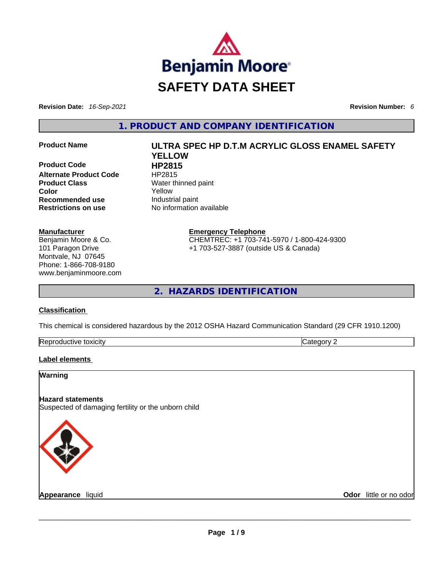

**Revision Date:** *16-Sep-2021* **Revision Number:** *6*

**1. PRODUCT AND COMPANY IDENTIFICATION** 

**Product Code 
<b>HP2815**<br> **Alternate Product Code HP2815 Alternate Product Code Product Class Water thinned paint Color** Yellow **Recommended use Industrial paint Restrictions on use** No information available

#### **Manufacturer**

Benjamin Moore & Co. 101 Paragon Drive Montvale, NJ 07645 Phone: 1-866-708-9180 www.benjaminmoore.com

# **Product Name ULTRA SPEC HP D.T.M ACRYLIC GLOSS ENAMEL SAFETY YELLOW**

**Emergency Telephone**

CHEMTREC: +1 703-741-5970 / 1-800-424-9300 +1 703-527-3887 (outside US & Canada)

**2. HAZARDS IDENTIFICATION** 

#### **Classification**

This chemical is considered hazardous by the 2012 OSHA Hazard Communication Standard (29 CFR 1910.1200)

| Reprod<br>toxicity<br>Jductive ** | ----<br>. |
|-----------------------------------|-----------|
|                                   |           |

#### **Label elements**

**Warning** 

#### **Hazard statements**

Suspected of damaging fertility or the unborn child



**Appearance** liquid **Odor** little or no odor \_\_\_\_\_\_\_\_\_\_\_\_\_\_\_\_\_\_\_\_\_\_\_\_\_\_\_\_\_\_\_\_\_\_\_\_\_\_\_\_\_\_\_\_\_\_\_\_\_\_\_\_\_\_\_\_\_\_\_\_\_\_\_\_\_\_\_\_\_\_\_\_\_\_\_\_\_\_\_\_\_\_\_\_\_\_\_\_\_\_\_\_\_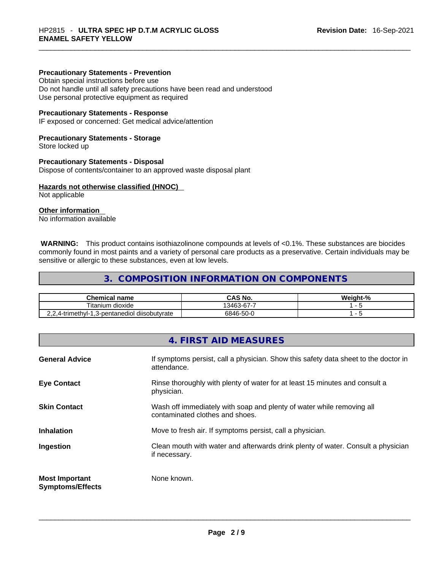#### **Precautionary Statements - Prevention**

Obtain special instructions before use

Do not handle until all safety precautions have been read and understood Use personal protective equipment as required

#### **Precautionary Statements - Response**

IF exposed or concerned: Get medical advice/attention

#### **Precautionary Statements - Storage**

Store locked up

#### **Precautionary Statements - Disposal**

Dispose of contents/container to an approved waste disposal plant

#### **Hazards not otherwise classified (HNOC)**

Not applicable

#### **Other information**

No information available

 **WARNING:** This product contains isothiazolinone compounds at levels of <0.1%. These substances are biocides commonly found in most paints and a variety of personal care products as a preservative. Certain individuals may be sensitive or allergic to these substances, even at low levels.

#### **3. COMPOSITION INFORMATION ON COMPONENTS**

| <b>Chemical name</b>                        | CAS No.    | Weight-% |
|---------------------------------------------|------------|----------|
| Titanium<br>dioxide                         | 13463-67-7 |          |
| 2,4-trimethyl-1,3-pentanediol diisobutyrate | 6846-50-0  |          |

### **4. FIRST AID MEASURES**

| <b>General Advice</b>                            | If symptoms persist, call a physician. Show this safety data sheet to the doctor in<br>attendance.       |
|--------------------------------------------------|----------------------------------------------------------------------------------------------------------|
| <b>Eye Contact</b>                               | Rinse thoroughly with plenty of water for at least 15 minutes and consult a<br>physician.                |
| <b>Skin Contact</b>                              | Wash off immediately with soap and plenty of water while removing all<br>contaminated clothes and shoes. |
| <b>Inhalation</b>                                | Move to fresh air. If symptoms persist, call a physician.                                                |
| Ingestion                                        | Clean mouth with water and afterwards drink plenty of water. Consult a physician<br>if necessary.        |
| <b>Most Important</b><br><b>Symptoms/Effects</b> | None known.                                                                                              |
|                                                  |                                                                                                          |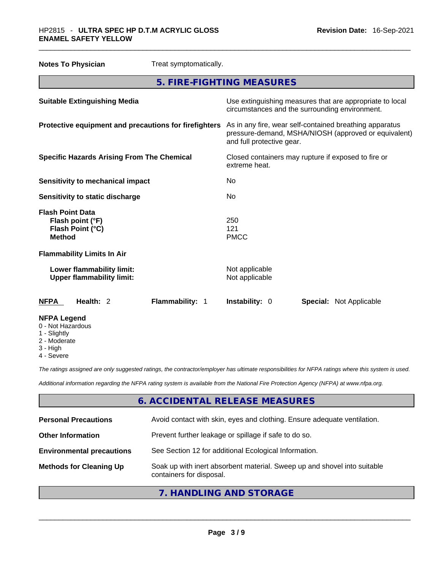| <b>Notes To Physician</b>                                                        | Treat symptomatically. |                                                                                                                                              |  |                                                          |
|----------------------------------------------------------------------------------|------------------------|----------------------------------------------------------------------------------------------------------------------------------------------|--|----------------------------------------------------------|
|                                                                                  |                        | 5. FIRE-FIGHTING MEASURES                                                                                                                    |  |                                                          |
| <b>Suitable Extinguishing Media</b>                                              |                        | circumstances and the surrounding environment.                                                                                               |  | Use extinguishing measures that are appropriate to local |
| Protective equipment and precautions for firefighters                            |                        | As in any fire, wear self-contained breathing apparatus<br>pressure-demand, MSHA/NIOSH (approved or equivalent)<br>and full protective gear. |  |                                                          |
| <b>Specific Hazards Arising From The Chemical</b>                                |                        | Closed containers may rupture if exposed to fire or<br>extreme heat.                                                                         |  |                                                          |
| <b>Sensitivity to mechanical impact</b>                                          |                        | No                                                                                                                                           |  |                                                          |
| Sensitivity to static discharge                                                  |                        | No.                                                                                                                                          |  |                                                          |
| <b>Flash Point Data</b><br>Flash point (°F)<br>Flash Point (°C)<br><b>Method</b> |                        | 250<br>121<br><b>PMCC</b>                                                                                                                    |  |                                                          |
| <b>Flammability Limits In Air</b>                                                |                        |                                                                                                                                              |  |                                                          |
| Lower flammability limit:<br><b>Upper flammability limit:</b>                    |                        | Not applicable<br>Not applicable                                                                                                             |  |                                                          |
| Health: 2<br><b>NFPA</b>                                                         | Flammability: 1        | Instability: 0                                                                                                                               |  | <b>Special: Not Applicable</b>                           |
| <b>NFPA Legend</b><br>0 - Not Hazardous                                          |                        |                                                                                                                                              |  |                                                          |

- 1 Slightly
- 2 Moderate
- 3 High
- 4 Severe

*The ratings assigned are only suggested ratings, the contractor/employer has ultimate responsibilities for NFPA ratings where this system is used.* 

*Additional information regarding the NFPA rating system is available from the National Fire Protection Agency (NFPA) at www.nfpa.org.* 

# **6. ACCIDENTAL RELEASE MEASURES**

| <b>Personal Precautions</b>      | Avoid contact with skin, eyes and clothing. Ensure adequate ventilation.                             |
|----------------------------------|------------------------------------------------------------------------------------------------------|
| <b>Other Information</b>         | Prevent further leakage or spillage if safe to do so.                                                |
| <b>Environmental precautions</b> | See Section 12 for additional Ecological Information.                                                |
| <b>Methods for Cleaning Up</b>   | Soak up with inert absorbent material. Sweep up and shovel into suitable<br>containers for disposal. |
|                                  |                                                                                                      |

**7. HANDLING AND STORAGE**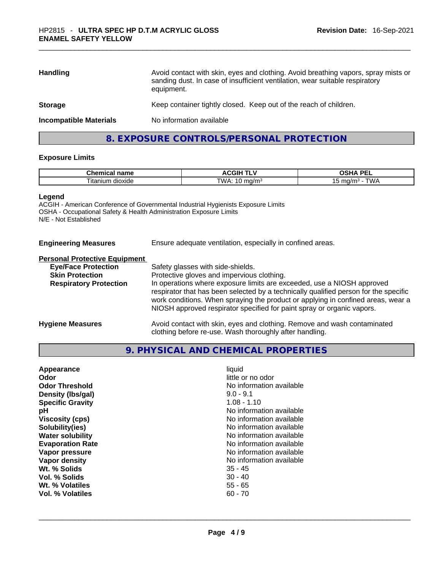| Avoid contact with skin, eyes and clothing. Avoid breathing vapors, spray mists or<br>sanding dust. In case of insufficient ventilation, wear suitable respiratory<br>equipment. |
|----------------------------------------------------------------------------------------------------------------------------------------------------------------------------------|
| Keep container tightly closed. Keep out of the reach of children.                                                                                                                |
| No information available                                                                                                                                                         |
|                                                                                                                                                                                  |

# **8. EXPOSURE CONTROLS/PERSONAL PROTECTION**

#### **Exposure Limits**

| <b>Chemical</b><br>name        | . .<br>-----<br>…<br>. اتا،<br>.<br>. . | <b>DE</b><br>--                 |
|--------------------------------|-----------------------------------------|---------------------------------|
| $ \sim$<br>dioxide<br>lta.<br> | W.<br>7/m <sub>o</sub><br>.<br>. .      | $\mathbf{u}$<br>ma/m<br>שו<br>ັ |

#### **Legend**

ACGIH - American Conference of Governmental Industrial Hygienists Exposure Limits OSHA - Occupational Safety & Health Administration Exposure Limits N/E - Not Established

| <b>Engineering Measures</b>          | Ensure adequate ventilation, especially in confined areas. |
|--------------------------------------|------------------------------------------------------------|
| <b>Personal Protective Equipment</b> |                                                            |

| <b>Eye/Face Protection</b><br><b>Skin Protection</b><br><b>Respiratory Protection</b> | Safety glasses with side-shields.<br>Protective gloves and impervious clothing.<br>In operations where exposure limits are exceeded, use a NIOSH approved<br>respirator that has been selected by a technically qualified person for the specific<br>work conditions. When spraying the product or applying in confined areas, wear a |
|---------------------------------------------------------------------------------------|---------------------------------------------------------------------------------------------------------------------------------------------------------------------------------------------------------------------------------------------------------------------------------------------------------------------------------------|
| <b>Hygiene Measures</b>                                                               | NIOSH approved respirator specified for paint spray or organic vapors.<br>Avoid contact with skin, eyes and clothing. Remove and wash contaminated                                                                                                                                                                                    |

clothing before re-use. Wash thoroughly after handling.

# **9. PHYSICAL AND CHEMICAL PROPERTIES**

| Appearance              | liquid                   |
|-------------------------|--------------------------|
| Odor                    | little or no odor        |
| <b>Odor Threshold</b>   | No information available |
| Density (Ibs/gal)       | $9.0 - 9.1$              |
| <b>Specific Gravity</b> | $1.08 - 1.10$            |
| рH                      | No information available |
| <b>Viscosity (cps)</b>  | No information available |
| Solubility(ies)         | No information available |
| <b>Water solubility</b> | No information available |
| <b>Evaporation Rate</b> | No information available |
| Vapor pressure          | No information available |
| Vapor density           | No information available |
| Wt. % Solids            | $35 - 45$                |
| Vol. % Solids           | $30 - 40$                |
| Wt. % Volatiles         | $55 - 65$                |
| Vol. % Volatiles        | $60 - 70$                |
|                         |                          |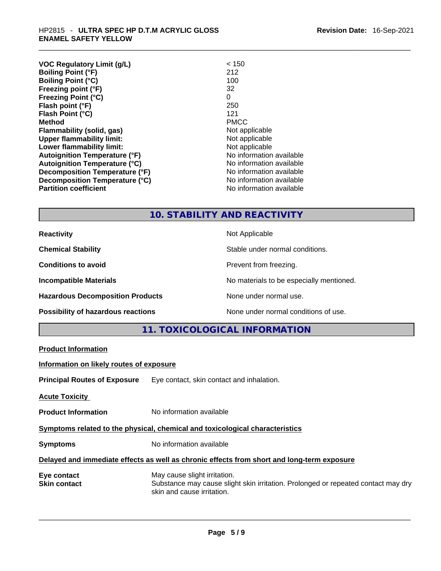| <b>VOC Regulatory Limit (g/L)</b>    | < 150                    |
|--------------------------------------|--------------------------|
| <b>Boiling Point (°F)</b>            | 212                      |
| <b>Boiling Point (°C)</b>            | 100                      |
| Freezing point (°F)                  | 32                       |
| <b>Freezing Point (°C)</b>           | 0                        |
| Flash point (°F)                     | 250                      |
| Flash Point (°C)                     | 121                      |
| <b>Method</b>                        | <b>PMCC</b>              |
| Flammability (solid, gas)            | Not applicable           |
| <b>Upper flammability limit:</b>     | Not applicable           |
| Lower flammability limit:            | Not applicable           |
| <b>Autoignition Temperature (°F)</b> | No information available |
| <b>Autoignition Temperature (°C)</b> | No information available |
| Decomposition Temperature (°F)       | No information available |
| Decomposition Temperature (°C)       | No information available |
| <b>Partition coefficient</b>         | No information available |

# **10. STABILITY AND REACTIVITY**

**Reactivity Not Applicable Not Applicable Chemical Stability Chemical Stability** Stable under normal conditions. **Conditions to avoid Prevent from freezing. Incompatible Materials Incompatible Materials Materials No materials to be especially mentioned. Hazardous Decomposition Products** None under normal use. **Possibility of hazardous reactions** None under normal conditions of use.

**11. TOXICOLOGICAL INFORMATION** 

| <b>Product Information</b>               |                                                                                                                                                 |
|------------------------------------------|-------------------------------------------------------------------------------------------------------------------------------------------------|
| Information on likely routes of exposure |                                                                                                                                                 |
|                                          | <b>Principal Routes of Exposure</b> Eye contact, skin contact and inhalation.                                                                   |
| <b>Acute Toxicity</b>                    |                                                                                                                                                 |
| <b>Product Information</b>               | No information available                                                                                                                        |
|                                          | Symptoms related to the physical, chemical and toxicological characteristics                                                                    |
| <b>Symptoms</b>                          | No information available                                                                                                                        |
|                                          | Delayed and immediate effects as well as chronic effects from short and long-term exposure                                                      |
| Eye contact<br><b>Skin contact</b>       | May cause slight irritation.<br>Substance may cause slight skin irritation. Prolonged or repeated contact may dry<br>skin and cause irritation. |
|                                          |                                                                                                                                                 |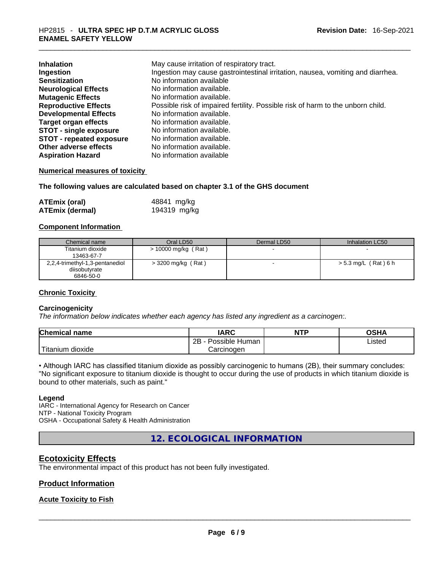| <b>Inhalation</b><br>Ingestion  | May cause irritation of respiratory tract.<br>Ingestion may cause gastrointestinal irritation, nausea, vomiting and diarrhea. |
|---------------------------------|-------------------------------------------------------------------------------------------------------------------------------|
| <b>Sensitization</b>            | No information available                                                                                                      |
| <b>Neurological Effects</b>     | No information available.                                                                                                     |
| <b>Mutagenic Effects</b>        | No information available.                                                                                                     |
| <b>Reproductive Effects</b>     | Possible risk of impaired fertility. Possible risk of harm to the unborn child.                                               |
| <b>Developmental Effects</b>    | No information available.                                                                                                     |
| <b>Target organ effects</b>     | No information available.                                                                                                     |
| <b>STOT - single exposure</b>   | No information available.                                                                                                     |
| <b>STOT - repeated exposure</b> | No information available.                                                                                                     |
| Other adverse effects           | No information available.                                                                                                     |
| <b>Aspiration Hazard</b>        | No information available                                                                                                      |

#### **Numerical measures of toxicity**

**The following values are calculated based on chapter 3.1 of the GHS document**

| <b>ATEmix (oral)</b>   | 48841 mg/kg  |
|------------------------|--------------|
| <b>ATEmix (dermal)</b> | 194319 mg/kg |

#### **Component Information**

| Chemical name                   | Oral LD50             | Dermal LD50 | Inhalation LC50      |
|---------------------------------|-----------------------|-------------|----------------------|
| Titanium dioxide                | $> 10000$ mg/kg (Rat) |             |                      |
| 13463-67-7                      |                       |             |                      |
| 2,2,4-trimethyl-1,3-pentanediol | $>$ 3200 mg/kg (Rat)  |             | > 5.3 mg/L (Rat) 6 h |
| diisobutyrate                   |                       |             |                      |
| 6846-50-0                       |                       |             |                      |

#### **Chronic Toxicity**

#### **Carcinogenicity**

*The information below indicates whether each agency has listed any ingredient as a carcinogen:.* 

| <b>Chemical name</b>  | IARC                 | <b>NTP</b> | OSHA   |
|-----------------------|----------------------|------------|--------|
|                       | 2Β<br>Possible Human |            | ∟isted |
| Titanium 、<br>dioxide | Carcinogen           |            |        |

• Although IARC has classified titanium dioxide as possibly carcinogenic to humans (2B), their summary concludes: "No significant exposure to titanium dioxide is thought to occur during the use of products in which titanium dioxide is bound to other materials, such as paint."

#### **Legend**

IARC - International Agency for Research on Cancer NTP - National Toxicity Program OSHA - Occupational Safety & Health Administration

**12. ECOLOGICAL INFORMATION** 

#### **Ecotoxicity Effects**

The environmental impact of this product has not been fully investigated.

#### **Product Information**

#### **Acute Toxicity to Fish**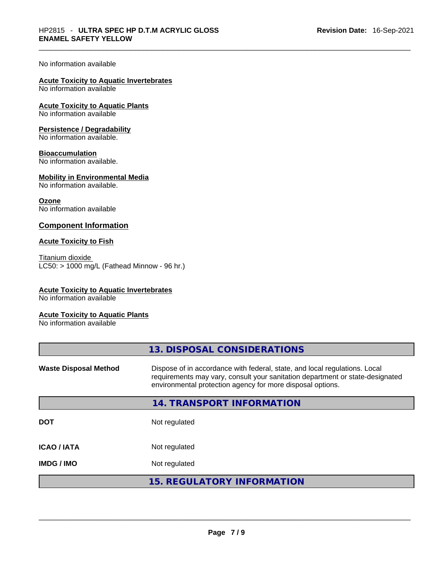#### No information available

# **Acute Toxicity to Aquatic Invertebrates**

No information available

**Acute Toxicity to Aquatic Plants** No information available

#### **Persistence / Degradability**

No information available.

#### **Bioaccumulation**

No information available.

#### **Mobility in Environmental Media**

No information available.

#### **Ozone**

No information available

#### **Component Information**

#### **Acute Toxicity to Fish**

Titanium dioxide  $LC50: > 1000$  mg/L (Fathead Minnow - 96 hr.)

#### **Acute Toxicity to Aquatic Invertebrates**

No information available

#### **Acute Toxicity to Aquatic Plants**

No information available

|                              | 13. DISPOSAL CONSIDERATIONS                                                                                                                                                                                               |
|------------------------------|---------------------------------------------------------------------------------------------------------------------------------------------------------------------------------------------------------------------------|
| <b>Waste Disposal Method</b> | Dispose of in accordance with federal, state, and local regulations. Local<br>requirements may vary, consult your sanitation department or state-designated<br>environmental protection agency for more disposal options. |
|                              | 14. TRANSPORT INFORMATION                                                                                                                                                                                                 |
| <b>DOT</b>                   | Not regulated                                                                                                                                                                                                             |
| <b>ICAO/IATA</b>             | Not regulated                                                                                                                                                                                                             |
| <b>IMDG/IMO</b>              | Not regulated                                                                                                                                                                                                             |
|                              | <b>15. REGULATORY INFORMATION</b>                                                                                                                                                                                         |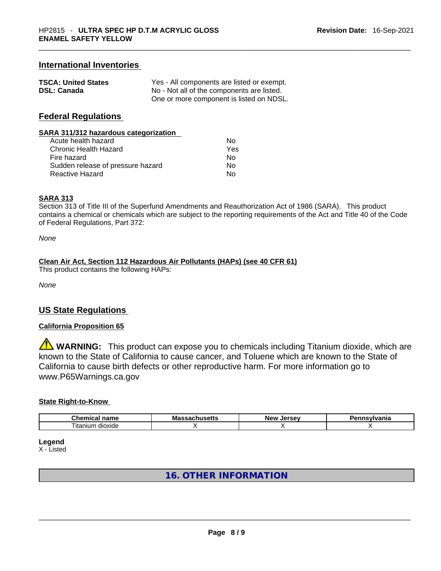#### **International Inventories**

| <b>TSCA: United States</b> | Yes - All components are listed or exempt. |
|----------------------------|--------------------------------------------|
| <b>DSL: Canada</b>         | No - Not all of the components are listed. |
|                            | One or more component is listed on NDSL.   |

#### **Federal Regulations**

#### **SARA 311/312 hazardous categorization**

| Acute health hazard               | N٥  |
|-----------------------------------|-----|
| <b>Chronic Health Hazard</b>      | Yes |
| Fire hazard                       | No  |
| Sudden release of pressure hazard | Nο  |
| <b>Reactive Hazard</b>            | N٥  |

#### **SARA 313**

Section 313 of Title III of the Superfund Amendments and Reauthorization Act of 1986 (SARA). This product contains a chemical or chemicals which are subject to the reporting requirements of the Act and Title 40 of the Code of Federal Regulations, Part 372:

*None*

#### **Clean Air Act,Section 112 Hazardous Air Pollutants (HAPs) (see 40 CFR 61)**

This product contains the following HAPs:

*None*

#### **US State Regulations**

#### **California Proposition 65**

**WARNING:** This product can expose you to chemicals including Titanium dioxide, which are known to the State of California to cause cancer, and Toluene which are known to the State of California to cause birth defects or other reproductive harm. For more information go to www.P65Warnings.ca.gov

#### **State Right-to-Know**

| $\sim$<br>$  -$<br>$- - - -$<br>"ner<br>паше   | Мε<br>sıı. | -------<br>NΑI | .<br>нс |
|------------------------------------------------|------------|----------------|---------|
| $\overline{\phantom{a}}$<br>dioxide<br>itanium |            |                |         |

**Legend**

X - Listed

## **16. OTHER INFORMATION**